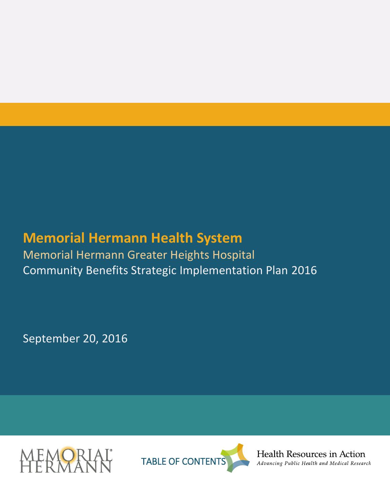# **Memorial Hermann Health System**

Memorial Hermann Greater Heights Hospital Community Benefits Strategic Implementation Plan 2016

September 20, 2016





Health Resources in Action Advancing Public Health and Medical Research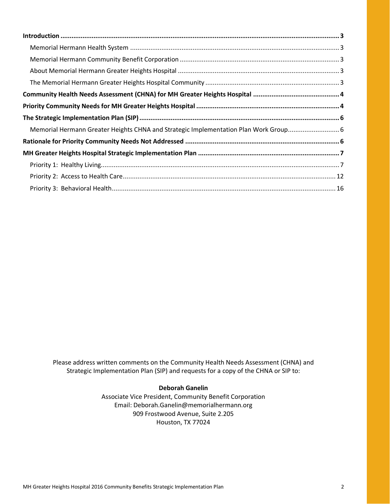| Memorial Hermann Greater Heights CHNA and Strategic Implementation Plan Work Group6 |  |
|-------------------------------------------------------------------------------------|--|
|                                                                                     |  |
|                                                                                     |  |
|                                                                                     |  |
|                                                                                     |  |
|                                                                                     |  |

Please address written comments on the Community Health Needs Assessment (CHNA) and Strategic Implementation Plan (SIP) and requests for a copy of the CHNA or SIP to:

#### **Deborah Ganelin**

Associate Vice President, Community Benefit Corporation Email: Deborah.Ganelin@memorialhermann.org 909 Frostwood Avenue, Suite 2.205 Houston, TX 77024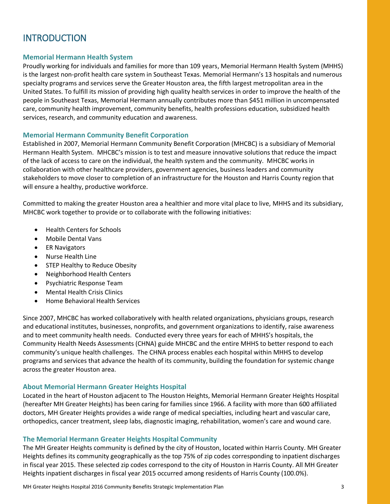# <span id="page-2-0"></span>**INTRODUCTION**

### <span id="page-2-1"></span>**Memorial Hermann Health System**

Proudly working for individuals and families for more than 109 years, Memorial Hermann Health System (MHHS) is the largest non-profit health care system in Southeast Texas. Memorial Hermann's 13 hospitals and numerous specialty programs and services serve the Greater Houston area, the fifth largest metropolitan area in the United States. To fulfill its mission of providing high quality health services in order to improve the health of the people in Southeast Texas, Memorial Hermann annually contributes more than \$451 million in uncompensated care, community health improvement, community benefits, health professions education, subsidized health services, research, and community education and awareness.

#### <span id="page-2-2"></span>**Memorial Hermann Community Benefit Corporation**

Established in 2007, Memorial Hermann Community Benefit Corporation (MHCBC) is a subsidiary of Memorial Hermann Health System. MHCBC's mission is to test and measure innovative solutions that reduce the impact of the lack of access to care on the individual, the health system and the community. MHCBC works in collaboration with other healthcare providers, government agencies, business leaders and community stakeholders to move closer to completion of an infrastructure for the Houston and Harris County region that will ensure a healthy, productive workforce.

Committed to making the greater Houston area a healthier and more vital place to live, MHHS and its subsidiary, MHCBC work together to provide or to collaborate with the following initiatives:

- Health Centers for Schools
- Mobile Dental Vans
- ER Navigators
- Nurse Health Line
- STEP Healthy to Reduce Obesity
- Neighborhood Health Centers
- Psychiatric Response Team
- Mental Health Crisis Clinics
- Home Behavioral Health Services

Since 2007, MHCBC has worked collaboratively with health related organizations, physicians groups, research and educational institutes, businesses, nonprofits, and government organizations to identify, raise awareness and to meet community health needs. Conducted every three years for each of MHHS's hospitals, the Community Health Needs Assessments (CHNA) guide MHCBC and the entire MHHS to better respond to each community's unique health challenges. The CHNA process enables each hospital within MHHS to develop programs and services that advance the health of its community, building the foundation for systemic change across the greater Houston area.

#### <span id="page-2-3"></span>**About Memorial Hermann Greater Heights Hospital**

Located in the heart of Houston adjacent to The Houston Heights, Memorial Hermann Greater Heights Hospital (hereafter MH Greater Heights) has been caring for families since 1966. A facility with more than 600 affiliated doctors, MH Greater Heights provides a wide range of medical specialties, including heart and vascular care, orthopedics, cancer treatment, sleep labs, diagnostic imaging, rehabilitation, women's care and wound care.

#### <span id="page-2-4"></span>**The Memorial Hermann Greater Heights Hospital Community**

The MH Greater Heights community is defined by the city of Houston, located within Harris County. MH Greater Heights defines its community geographically as the top 75% of zip codes corresponding to inpatient discharges in fiscal year 2015. These selected zip codes correspond to the city of Houston in Harris County. All MH Greater Heights inpatient discharges in fiscal year 2015 occurred among residents of Harris County (100.0%).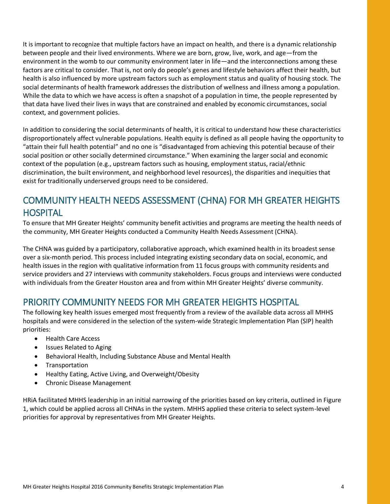It is important to recognize that multiple factors have an impact on health, and there is a dynamic relationship between people and their lived environments. Where we are born, grow, live, work, and age—from the environment in the womb to our community environment later in life—and the interconnections among these factors are critical to consider. That is, not only do people's genes and lifestyle behaviors affect their health, but health is also influenced by more upstream factors such as employment status and quality of housing stock. The social determinants of health framework addresses the distribution of wellness and illness among a population. While the data to which we have access is often a snapshot of a population in time, the people represented by that data have lived their lives in ways that are constrained and enabled by economic circumstances, social context, and government policies.

In addition to considering the social determinants of health, it is critical to understand how these characteristics disproportionately affect vulnerable populations. Health equity is defined as all people having the opportunity to "attain their full health potential" and no one is "disadvantaged from achieving this potential because of their social position or other socially determined circumstance." When examining the larger social and economic context of the population (e.g., upstream factors such as housing, employment status, racial/ethnic discrimination, the built environment, and neighborhood level resources), the disparities and inequities that exist for traditionally underserved groups need to be considered.

# <span id="page-3-0"></span>COMMUNITY HEALTH NEEDS ASSESSMENT (CHNA) FOR MH GREATER HEIGHTS **HOSPITAL**

To ensure that MH Greater Heights' community benefit activities and programs are meeting the health needs of the community, MH Greater Heights conducted a Community Health Needs Assessment (CHNA).

The CHNA was guided by a participatory, collaborative approach, which examined health in its broadest sense over a six-month period. This process included integrating existing secondary data on social, economic, and health issues in the region with qualitative information from 11 focus groups with community residents and service providers and 27 interviews with community stakeholders. Focus groups and interviews were conducted with individuals from the Greater Houston area and from within MH Greater Heights' diverse community.

# <span id="page-3-1"></span>PRIORITY COMMUNITY NEEDS FOR MH GREATER HEIGHTS HOSPITAL

The following key health issues emerged most frequently from a review of the available data across all MHHS hospitals and were considered in the selection of the system-wide Strategic Implementation Plan (SIP) health priorities:

- Health Care Access
- Issues Related to Aging
- Behavioral Health, Including Substance Abuse and Mental Health
- **•** Transportation
- Healthy Eating, Active Living, and Overweight/Obesity
- Chronic Disease Management

HRiA facilitated MHHS leadership in an initial narrowing of the priorities based on key criteria, outlined in [Figure](#page-4-0)  [1,](#page-4-0) which could be applied across all CHNAs in the system. MHHS applied these criteria to select system-level priorities for approval by representatives from MH Greater Heights.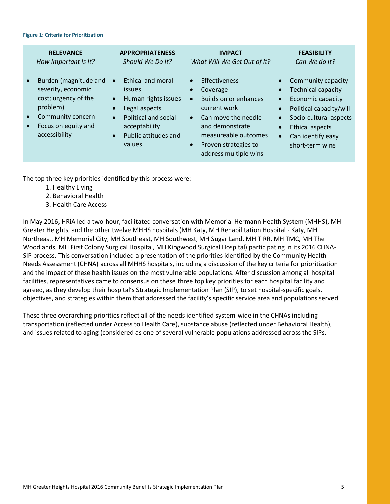#### <span id="page-4-0"></span>**Figure 1: Criteria for Prioritization**

|                                     | <b>RELEVANCE</b><br>How Important Is It?                                                                                                     |                                                               | <b>APPROPRIATENESS</b><br>Should We Do It?                                                                                                                          |                                                               | <b>IMPACT</b><br>What Will We Get Out of It?                                                                                                                                                 |                                     | <b>FEASIBILITY</b><br>Can We do It?                                                                                                                                                         |
|-------------------------------------|----------------------------------------------------------------------------------------------------------------------------------------------|---------------------------------------------------------------|---------------------------------------------------------------------------------------------------------------------------------------------------------------------|---------------------------------------------------------------|----------------------------------------------------------------------------------------------------------------------------------------------------------------------------------------------|-------------------------------------|---------------------------------------------------------------------------------------------------------------------------------------------------------------------------------------------|
| $\bullet$<br>$\bullet$<br>$\bullet$ | Burden (magnitude and<br>severity, economic<br>cost; urgency of the<br>problem)<br>Community concern<br>Focus on equity and<br>accessibility | $\bullet$<br>$\bullet$<br>$\bullet$<br>$\bullet$<br>$\bullet$ | <b>Ethical and moral</b><br><i>issues</i><br>Human rights issues<br>Legal aspects<br><b>Political and social</b><br>acceptability<br>Public attitudes and<br>values | $\bullet$<br>$\bullet$<br>$\bullet$<br>$\bullet$<br>$\bullet$ | <b>Effectiveness</b><br>Coverage<br>Builds on or enhances<br>current work<br>Can move the needle<br>and demonstrate<br>measureable outcomes<br>Proven strategies to<br>address multiple wins | $\bullet$<br>$\bullet$<br>$\bullet$ | Community capacity<br><b>Technical capacity</b><br>Economic capacity<br>Political capacity/will<br>Socio-cultural aspects<br><b>Ethical aspects</b><br>Can identify easy<br>short-term wins |
|                                     |                                                                                                                                              |                                                               |                                                                                                                                                                     |                                                               |                                                                                                                                                                                              |                                     |                                                                                                                                                                                             |

The top three key priorities identified by this process were:

- 1. Healthy Living
- 2. Behavioral Health
- 3. Health Care Access

In May 2016, HRiA led a two-hour, facilitated conversation with Memorial Hermann Health System (MHHS), MH Greater Heights, and the other twelve MHHS hospitals (MH Katy, MH Rehabilitation Hospital - Katy, MH Northeast, MH Memorial City, MH Southeast, MH Southwest, MH Sugar Land, MH TIRR, MH TMC, MH The Woodlands, MH First Colony Surgical Hospital, MH Kingwood Surgical Hospital) participating in its 2016 CHNA-SIP process. This conversation included a presentation of the priorities identified by the Community Health Needs Assessment (CHNA) across all MHHS hospitals, including a discussion of the key criteria for prioritization and the impact of these health issues on the most vulnerable populations. After discussion among all hospital facilities, representatives came to consensus on these three top key priorities for each hospital facility and agreed, as they develop their hospital's Strategic Implementation Plan (SIP), to set hospital-specific goals, objectives, and strategies within them that addressed the facility's specific service area and populations served.

These three overarching priorities reflect all of the needs identified system-wide in the CHNAs including transportation (reflected under Access to Health Care), substance abuse (reflected under Behavioral Health), and issues related to aging (considered as one of several vulnerable populations addressed across the SIPs.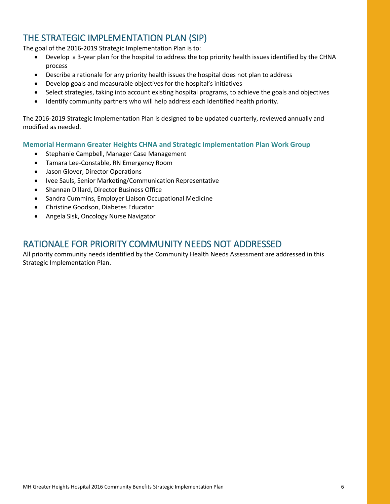# <span id="page-5-0"></span>THE STRATEGIC IMPLEMENTATION PLAN (SIP)

The goal of the 2016-2019 Strategic Implementation Plan is to:

- Develop a 3-year plan for the hospital to address the top priority health issues identified by the CHNA process
- Describe a rationale for any priority health issues the hospital does not plan to address
- Develop goals and measurable objectives for the hospital's initiatives
- Select strategies, taking into account existing hospital programs, to achieve the goals and objectives
- Identify community partners who will help address each identified health priority.

The 2016-2019 Strategic Implementation Plan is designed to be updated quarterly, reviewed annually and modified as needed.

<span id="page-5-1"></span>**Memorial Hermann Greater Heights CHNA and Strategic Implementation Plan Work Group**

- Stephanie Campbell, Manager Case Management
- Tamara Lee-Constable, RN Emergency Room
- Jason Glover, Director Operations
- Ivee Sauls, Senior Marketing/Communication Representative
- Shannan Dillard, Director Business Office
- Sandra Cummins, Employer Liaison Occupational Medicine
- Christine Goodson, Diabetes Educator
- Angela Sisk, Oncology Nurse Navigator

## <span id="page-5-2"></span>RATIONALE FOR PRIORITY COMMUNITY NEEDS NOT ADDRESSED

All priority community needs identified by the Community Health Needs Assessment are addressed in this Strategic Implementation Plan.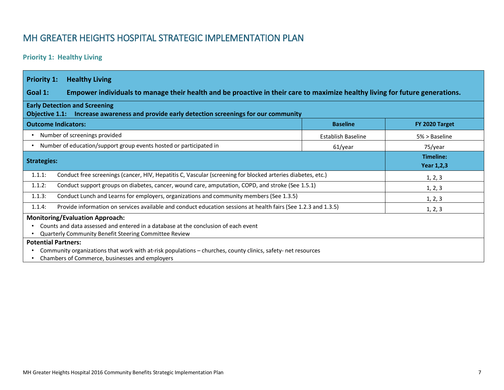# MH GREATER HEIGHTS HOSPITAL STRATEGIC IMPLEMENTATION PLAN

### **Priority 1: Healthy Living**

<span id="page-6-1"></span><span id="page-6-0"></span>

| <b>Priority 1:</b><br><b>Healthy Living</b>                                                                                                                                                                                                                                                                                                                                                             |                    |                                |  |  |
|---------------------------------------------------------------------------------------------------------------------------------------------------------------------------------------------------------------------------------------------------------------------------------------------------------------------------------------------------------------------------------------------------------|--------------------|--------------------------------|--|--|
| Empower individuals to manage their health and be proactive in their care to maximize healthy living for future generations.<br>Goal 1:                                                                                                                                                                                                                                                                 |                    |                                |  |  |
| <b>Early Detection and Screening</b><br>Objective 1.1: Increase awareness and provide early detection screenings for our community                                                                                                                                                                                                                                                                      |                    |                                |  |  |
| <b>Outcome Indicators:</b>                                                                                                                                                                                                                                                                                                                                                                              | <b>Baseline</b>    | FY 2020 Target                 |  |  |
| Number of screenings provided<br>$\bullet$                                                                                                                                                                                                                                                                                                                                                              | Establish Baseline | $5% >$ Baseline                |  |  |
| Number of education/support group events hosted or participated in                                                                                                                                                                                                                                                                                                                                      | 61/year            | 75/year                        |  |  |
| <b>Strategies:</b>                                                                                                                                                                                                                                                                                                                                                                                      |                    | Timeline:<br><b>Year 1,2,3</b> |  |  |
| Conduct free screenings (cancer, HIV, Hepatitis C, Vascular (screening for blocked arteries diabetes, etc.)<br>1.1.1:                                                                                                                                                                                                                                                                                   |                    | 1, 2, 3                        |  |  |
| 1.1.2:<br>Conduct support groups on diabetes, cancer, wound care, amputation, COPD, and stroke (See 1.5.1)                                                                                                                                                                                                                                                                                              |                    | 1, 2, 3                        |  |  |
| Conduct Lunch and Learns for employers, organizations and community members (See 1.3.5)<br>1.1.3:                                                                                                                                                                                                                                                                                                       |                    | 1, 2, 3                        |  |  |
| Provide information on services available and conduct education sessions at health fairs (See 1.2.3 and 1.3.5)<br>1.1.4:                                                                                                                                                                                                                                                                                |                    | 1, 2, 3                        |  |  |
| <b>Monitoring/Evaluation Approach:</b><br>Counts and data assessed and entered in a database at the conclusion of each event<br>Quarterly Community Benefit Steering Committee Review<br><b>Potential Partners:</b><br>Community organizations that work with at-risk populations - churches, county clinics, safety- net resources<br>$\bullet$<br>Chambers of Commerce, businesses and employers<br>٠ |                    |                                |  |  |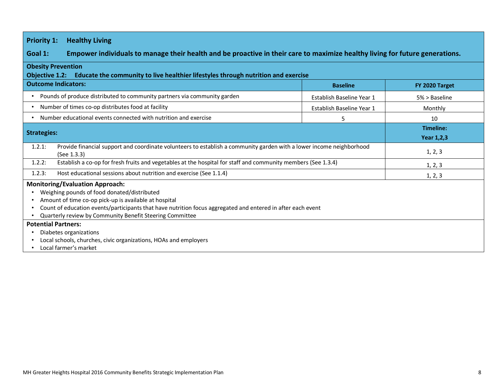### **Priority 1: Healthy Living**

**Goal 1: Empower individuals to manage their health and be proactive in their care to maximize healthy living for future generations.** 

#### **Obesity Prevention**

**Objective 1.2: Educate the community to live healthier lifestyles through nutrition and exercise**

| <b>Outcome Indicators:</b>                                                                                                                                                                                                                                                                                                | <b>Baseline</b>           | FY 2020 Target                 |
|---------------------------------------------------------------------------------------------------------------------------------------------------------------------------------------------------------------------------------------------------------------------------------------------------------------------------|---------------------------|--------------------------------|
| Pounds of produce distributed to community partners via community garden                                                                                                                                                                                                                                                  | Establish Baseline Year 1 | 5% > Baseline                  |
| Number of times co-op distributes food at facility                                                                                                                                                                                                                                                                        | Establish Baseline Year 1 | Monthly                        |
| Number educational events connected with nutrition and exercise                                                                                                                                                                                                                                                           | 5                         | 10                             |
| <b>Strategies:</b>                                                                                                                                                                                                                                                                                                        |                           | Timeline:<br><b>Year 1,2,3</b> |
| Provide financial support and coordinate volunteers to establish a community garden with a lower income neighborhood<br>1.2.1:<br>(See 1.3.3)                                                                                                                                                                             |                           | 1, 2, 3                        |
| Establish a co-op for fresh fruits and vegetables at the hospital for staff and community members (See 1.3.4)<br>1.2.2:                                                                                                                                                                                                   |                           | 1, 2, 3                        |
| Host educational sessions about nutrition and exercise (See 1.1.4)<br>1.2.3:                                                                                                                                                                                                                                              |                           | 1, 2, 3                        |
| <b>Monitoring/Evaluation Approach:</b><br>Weighing pounds of food donated/distributed<br>Amount of time co-op pick-up is available at hospital<br>Count of education events/participants that have nutrition focus aggregated and entered in after each event<br>Quarterly review by Community Benefit Steering Committee |                           |                                |
| <b>Potential Partners:</b><br>Diabetes organizations<br>Local schools, churches, civic organizations, HOAs and employers<br>Local farmer's market                                                                                                                                                                         |                           |                                |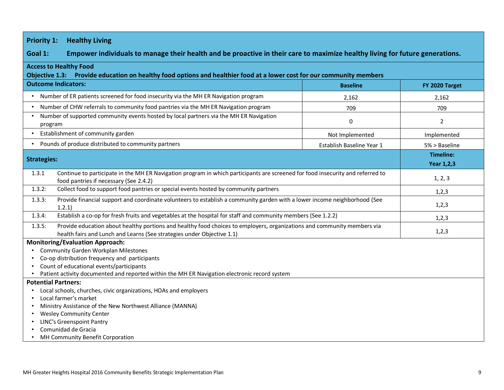| <b>Priority 1:</b><br><b>Healthy Living</b>                                                                                                                                                                 |                           |                   |  |  |
|-------------------------------------------------------------------------------------------------------------------------------------------------------------------------------------------------------------|---------------------------|-------------------|--|--|
| Goal 1:<br>Empower individuals to manage their health and be proactive in their care to maximize healthy living for future generations.                                                                     |                           |                   |  |  |
| <b>Access to Healthy Food</b><br>Objective 1.3: Provide education on healthy food options and healthier food at a lower cost for our community members                                                      |                           |                   |  |  |
| <b>Outcome Indicators:</b>                                                                                                                                                                                  | <b>Baseline</b>           | FY 2020 Target    |  |  |
| Number of ER patients screened for food insecurity via the MH ER Navigation program                                                                                                                         | 2,162                     | 2,162             |  |  |
| Number of CHW referrals to community food pantries via the MH ER Navigation program                                                                                                                         | 709                       | 709               |  |  |
| Number of supported community events hosted by local partners via the MH ER Navigation<br>program                                                                                                           | $\mathbf 0$               | 2                 |  |  |
| Establishment of community garden                                                                                                                                                                           | Not Implemented           | Implemented       |  |  |
| Pounds of produce distributed to community partners                                                                                                                                                         | Establish Baseline Year 1 | 5% > Baseline     |  |  |
| <b>Strategies:</b>                                                                                                                                                                                          |                           | <b>Timeline:</b>  |  |  |
|                                                                                                                                                                                                             |                           | <b>Year 1,2,3</b> |  |  |
| Continue to participate in the MH ER Navigation program in which participants are screened for food insecurity and referred to<br>1.3.1<br>1, 2, 3<br>food pantries if necessary (See 2.4.2)                |                           |                   |  |  |
| 1.3.2:<br>Collect food to support food pantries or special events hosted by community partners                                                                                                              | 1,2,3                     |                   |  |  |
| Provide financial support and coordinate volunteers to establish a community garden with a lower income neighborhood (See<br>1.3.3:<br>1.2.1)                                                               | 1,2,3                     |                   |  |  |
| Establish a co-op for fresh fruits and vegetables at the hospital for staff and community members (See 1.2.2)<br>1.3.4:                                                                                     | 1,2,3                     |                   |  |  |
| Provide education about healthy portions and healthy food choices to employers, organizations and community members via<br>1.3.5:<br>health fairs and Lunch and Learns (See strategies under Objective 1.1) | 1,2,3                     |                   |  |  |
| <b>Monitoring/Evaluation Approach:</b>                                                                                                                                                                      |                           |                   |  |  |
| <b>Community Garden Workplan Milestones</b>                                                                                                                                                                 |                           |                   |  |  |
| Co-op distribution frequency and participants<br>Count of educational events/participants                                                                                                                   |                           |                   |  |  |
| Patient activity documented and reported within the MH ER Navigation electronic record system                                                                                                               |                           |                   |  |  |
| <b>Potential Partners:</b>                                                                                                                                                                                  |                           |                   |  |  |
| Local schools, churches, civic organizations, HOAs and employers                                                                                                                                            |                           |                   |  |  |
| Local farmer's market<br>$\bullet$                                                                                                                                                                          |                           |                   |  |  |
| Ministry Assistance of the New Northwest Alliance (MANNA)                                                                                                                                                   |                           |                   |  |  |
| <b>Wesley Community Center</b>                                                                                                                                                                              |                           |                   |  |  |
| <b>LINC's Greenspoint Pantry</b>                                                                                                                                                                            |                           |                   |  |  |
| Comunidad de Gracia                                                                                                                                                                                         |                           |                   |  |  |
| MH Community Benefit Corporation                                                                                                                                                                            |                           |                   |  |  |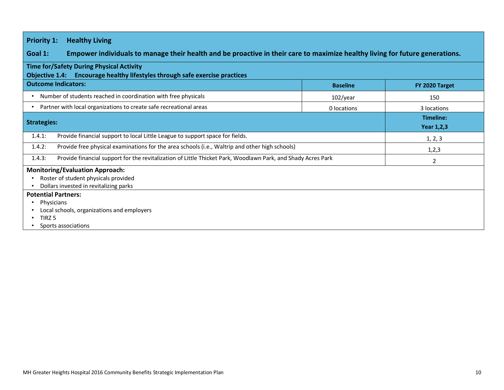| <b>Healthy Living</b><br><b>Priority 1:</b>                                                                                                                                                                                             |                 |                                |  |
|-----------------------------------------------------------------------------------------------------------------------------------------------------------------------------------------------------------------------------------------|-----------------|--------------------------------|--|
| Empower individuals to manage their health and be proactive in their care to maximize healthy living for future generations.<br>Goal 1:                                                                                                 |                 |                                |  |
| <b>Time for/Safety During Physical Activity</b><br>Objective 1.4: Encourage healthy lifestyles through safe exercise practices                                                                                                          |                 |                                |  |
| <b>Outcome Indicators:</b>                                                                                                                                                                                                              | <b>Baseline</b> | FY 2020 Target                 |  |
| Number of students reached in coordination with free physicals                                                                                                                                                                          | $102$ /year     | 150                            |  |
| Partner with local organizations to create safe recreational areas                                                                                                                                                                      | 0 locations     | 3 locations                    |  |
| <b>Strategies:</b>                                                                                                                                                                                                                      |                 | Timeline:<br><b>Year 1,2,3</b> |  |
| Provide financial support to local Little League to support space for fields.<br>1.4.1:                                                                                                                                                 |                 | 1, 2, 3                        |  |
| 1.4.2:<br>Provide free physical examinations for the area schools (i.e., Waltrip and other high schools)                                                                                                                                |                 | 1,2,3                          |  |
| 1.4.3:<br>Provide financial support for the revitalization of Little Thicket Park, Woodlawn Park, and Shady Acres Park                                                                                                                  |                 | 2                              |  |
| <b>Monitoring/Evaluation Approach:</b><br>Roster of student physicals provided<br>Dollars invested in revitalizing parks<br><b>Potential Partners:</b><br>Physicians<br>Local schools, organizations and employers<br>TIRZ <sub>5</sub> |                 |                                |  |
| Sports associations                                                                                                                                                                                                                     |                 |                                |  |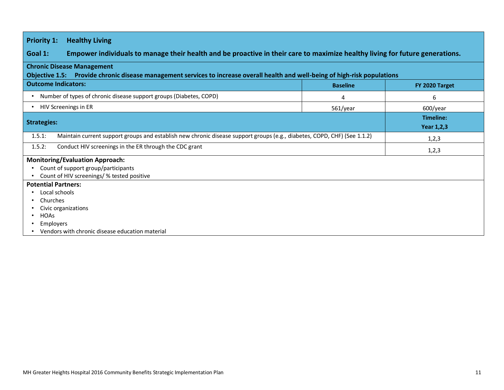| <b>Priority 1:</b><br><b>Healthy Living</b>                                                                                                                        |                 |                                |  |  |
|--------------------------------------------------------------------------------------------------------------------------------------------------------------------|-----------------|--------------------------------|--|--|
| Empower individuals to manage their health and be proactive in their care to maximize healthy living for future generations.<br>Goal 1:                            |                 |                                |  |  |
| <b>Chronic Disease Management</b><br>Objective 1.5: Provide chronic disease management services to increase overall health and well-being of high-risk populations |                 |                                |  |  |
| <b>Outcome Indicators:</b>                                                                                                                                         | <b>Baseline</b> | FY 2020 Target                 |  |  |
| Number of types of chronic disease support groups (Diabetes, COPD)                                                                                                 | 4               | 6                              |  |  |
| HIV Screenings in ER                                                                                                                                               | 561/year        | 600/year                       |  |  |
| <b>Strategies:</b>                                                                                                                                                 |                 | Timeline:<br><b>Year 1,2,3</b> |  |  |
| Maintain current support groups and establish new chronic disease support groups (e.g., diabetes, COPD, CHF) (See 1.1.2)<br>1.5.1:                                 |                 | 1,2,3                          |  |  |
| 1.5.2:<br>Conduct HIV screenings in the ER through the CDC grant                                                                                                   |                 | 1,2,3                          |  |  |
| <b>Monitoring/Evaluation Approach:</b>                                                                                                                             |                 |                                |  |  |
| Count of support group/participants<br>Count of HIV screenings/ % tested positive                                                                                  |                 |                                |  |  |
| <b>Potential Partners:</b><br>Local schools<br>Churches<br>Civic organizations<br><b>HOAs</b><br>Employers<br>Vendors with chronic disease education material      |                 |                                |  |  |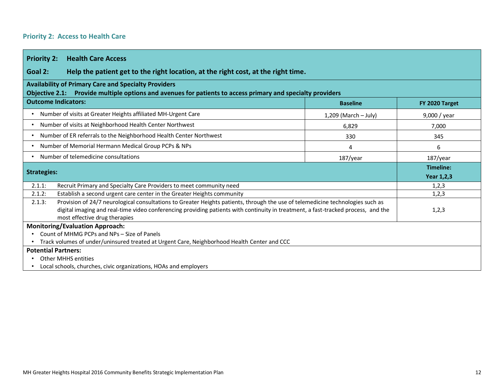### **Priority 2: Access to Health Care**

 $\sim$ 

<span id="page-11-0"></span>

| <b>Priority 2:</b><br><b>Health Care Access</b>                                                                                                                                                                                                                                                                |                                |                |  |  |
|----------------------------------------------------------------------------------------------------------------------------------------------------------------------------------------------------------------------------------------------------------------------------------------------------------------|--------------------------------|----------------|--|--|
| Help the patient get to the right location, at the right cost, at the right time.<br>Goal 2:                                                                                                                                                                                                                   |                                |                |  |  |
| <b>Availability of Primary Care and Specialty Providers</b><br>Objective 2.1: Provide multiple options and avenues for patients to access primary and specialty providers                                                                                                                                      |                                |                |  |  |
| <b>Outcome Indicators:</b>                                                                                                                                                                                                                                                                                     | <b>Baseline</b>                | FY 2020 Target |  |  |
| Number of visits at Greater Heights affiliated MH-Urgent Care                                                                                                                                                                                                                                                  | $1,209$ (March – July)         | 9,000 / year   |  |  |
| Number of visits at Neighborhood Health Center Northwest                                                                                                                                                                                                                                                       | 6,829                          | 7,000          |  |  |
| Number of ER referrals to the Neighborhood Health Center Northwest                                                                                                                                                                                                                                             | 330                            | 345            |  |  |
| Number of Memorial Hermann Medical Group PCPs & NPs                                                                                                                                                                                                                                                            | 4                              | 6              |  |  |
| Number of telemedicine consultations                                                                                                                                                                                                                                                                           | 187/year                       |                |  |  |
| <b>Strategies:</b>                                                                                                                                                                                                                                                                                             | Timeline:<br><b>Year 1,2,3</b> |                |  |  |
| Recruit Primary and Specialty Care Providers to meet community need<br>2.1.1:                                                                                                                                                                                                                                  |                                | 1, 2, 3        |  |  |
| Establish a second urgent care center in the Greater Heights community<br>2.1.2:                                                                                                                                                                                                                               |                                | 1,2,3          |  |  |
| Provision of 24/7 neurological consultations to Greater Heights patients, through the use of telemedicine technologies such as<br>2.1.3:<br>digital imaging and real-time video conferencing providing patients with continuity in treatment, a fast-tracked process, and the<br>most effective drug therapies |                                | 1, 2, 3        |  |  |
| <b>Monitoring/Evaluation Approach:</b>                                                                                                                                                                                                                                                                         |                                |                |  |  |
| Count of MHMG PCPs and NPs - Size of Panels                                                                                                                                                                                                                                                                    |                                |                |  |  |
| Track volumes of under/uninsured treated at Urgent Care, Neighborhood Health Center and CCC                                                                                                                                                                                                                    |                                |                |  |  |
| <b>Potential Partners:</b>                                                                                                                                                                                                                                                                                     |                                |                |  |  |
| <b>Other MHHS entities</b>                                                                                                                                                                                                                                                                                     |                                |                |  |  |
| Local schools, churches, civic organizations, HOAs and employers                                                                                                                                                                                                                                               |                                |                |  |  |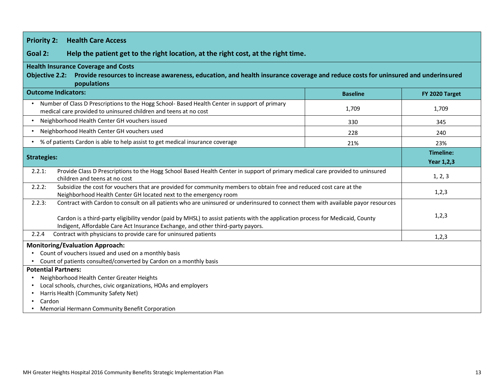| <b>Priority 2:</b><br><b>Health Care Access</b>                                                                                                                                                                                                                                                                                                                 |                 |                                       |  |  |  |
|-----------------------------------------------------------------------------------------------------------------------------------------------------------------------------------------------------------------------------------------------------------------------------------------------------------------------------------------------------------------|-----------------|---------------------------------------|--|--|--|
| Goal 2:<br>Help the patient get to the right location, at the right cost, at the right time.                                                                                                                                                                                                                                                                    |                 |                                       |  |  |  |
| <b>Health Insurance Coverage and Costs</b><br>Provide resources to increase awareness, education, and health insurance coverage and reduce costs for uninsured and underinsured<br><b>Objective 2.2:</b><br>populations                                                                                                                                         |                 |                                       |  |  |  |
| <b>Outcome Indicators:</b>                                                                                                                                                                                                                                                                                                                                      | <b>Baseline</b> | FY 2020 Target                        |  |  |  |
| Number of Class D Prescriptions to the Hogg School- Based Health Center in support of primary<br>medical care provided to uninsured children and teens at no cost                                                                                                                                                                                               | 1,709           | 1,709                                 |  |  |  |
| Neighborhood Health Center GH vouchers issued<br>$\bullet$                                                                                                                                                                                                                                                                                                      | 330             | 345                                   |  |  |  |
| Neighborhood Health Center GH vouchers used                                                                                                                                                                                                                                                                                                                     | 228             | 240                                   |  |  |  |
| % of patients Cardon is able to help assist to get medical insurance coverage                                                                                                                                                                                                                                                                                   | 21%             | 23%                                   |  |  |  |
| <b>Strategies:</b>                                                                                                                                                                                                                                                                                                                                              |                 | <b>Timeline:</b><br><b>Year 1,2,3</b> |  |  |  |
| Provide Class D Prescriptions to the Hogg School Based Health Center in support of primary medical care provided to uninsured<br>2.2.1:<br>children and teens at no cost                                                                                                                                                                                        |                 | 1, 2, 3                               |  |  |  |
| Subsidize the cost for vouchers that are provided for community members to obtain free and reduced cost care at the<br>2.2.2:<br>Neighborhood Health Center GH located next to the emergency room                                                                                                                                                               |                 | 1,2,3                                 |  |  |  |
| Contract with Cardon to consult on all patients who are uninsured or underinsured to connect them with available payor resources<br>2.2.3:<br>Cardon is a third-party eligibility vendor (paid by MHSL) to assist patients with the application process for Medicaid, County<br>Indigent, Affordable Care Act Insurance Exchange, and other third-party payors. |                 | 1,2,3                                 |  |  |  |
| Contract with physicians to provide care for uninsured patients<br>2.2.4                                                                                                                                                                                                                                                                                        |                 | 1,2,3                                 |  |  |  |
| <b>Monitoring/Evaluation Approach:</b><br>Count of vouchers issued and used on a monthly basis<br>Count of patients consulted/converted by Cardon on a monthly basis                                                                                                                                                                                            |                 |                                       |  |  |  |
| <b>Potential Partners:</b><br>Neighborhood Health Center Greater Heights<br>Local schools, churches, civic organizations, HOAs and employers<br>Harris Health (Community Safety Net)<br>Cardon<br>Memorial Hermann Community Benefit Corporation                                                                                                                |                 |                                       |  |  |  |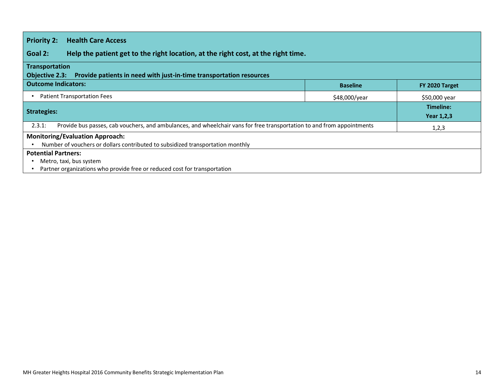| <b>Priority 2:</b><br><b>Health Care Access</b>                                                                                  |                 |                         |  |  |
|----------------------------------------------------------------------------------------------------------------------------------|-----------------|-------------------------|--|--|
| Goal 2:<br>Help the patient get to the right location, at the right cost, at the right time.                                     |                 |                         |  |  |
| Transportation                                                                                                                   |                 |                         |  |  |
| Provide patients in need with just-in-time transportation resources<br>Objective 2.3:                                            |                 |                         |  |  |
| <b>Outcome Indicators:</b>                                                                                                       | <b>Baseline</b> | FY 2020 Target          |  |  |
| <b>Patient Transportation Fees</b>                                                                                               | \$48,000/year   | \$50,000 year           |  |  |
| <b>Strategies:</b>                                                                                                               |                 | Timeline:<br>Year 1,2,3 |  |  |
| Provide bus passes, cab vouchers, and ambulances, and wheelchair vans for free transportation to and from appointments<br>2.3.1: |                 | 1,2,3                   |  |  |
| <b>Monitoring/Evaluation Approach:</b>                                                                                           |                 |                         |  |  |
| Number of vouchers or dollars contributed to subsidized transportation monthly                                                   |                 |                         |  |  |
| <b>Potential Partners:</b>                                                                                                       |                 |                         |  |  |
| Metro, taxi, bus system                                                                                                          |                 |                         |  |  |
| Partner organizations who provide free or reduced cost for transportation                                                        |                 |                         |  |  |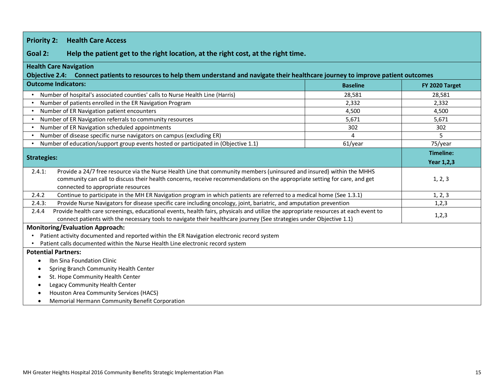| <b>Priority 2:</b><br><b>Health Care Access</b>                                                                                                                                                                                                                                                    |                 |                   |  |  |  |
|----------------------------------------------------------------------------------------------------------------------------------------------------------------------------------------------------------------------------------------------------------------------------------------------------|-----------------|-------------------|--|--|--|
| Goal 2:<br>Help the patient get to the right location, at the right cost, at the right time.                                                                                                                                                                                                       |                 |                   |  |  |  |
| <b>Health Care Navigation</b><br>Objective 2.4: Connect patients to resources to help them understand and navigate their healthcare journey to improve patient outcomes                                                                                                                            |                 |                   |  |  |  |
| <b>Outcome Indicators:</b>                                                                                                                                                                                                                                                                         | <b>Baseline</b> | FY 2020 Target    |  |  |  |
| Number of hospital's associated counties' calls to Nurse Health Line (Harris)                                                                                                                                                                                                                      | 28,581          | 28,581            |  |  |  |
| Number of patients enrolled in the ER Navigation Program<br>$\bullet$                                                                                                                                                                                                                              | 2,332           | 2,332             |  |  |  |
| Number of ER Navigation patient encounters                                                                                                                                                                                                                                                         | 4,500           | 4,500             |  |  |  |
| Number of ER Navigation referrals to community resources                                                                                                                                                                                                                                           | 5,671           | 5,671             |  |  |  |
| Number of ER Navigation scheduled appointments<br>$\bullet$                                                                                                                                                                                                                                        | 302             | 302               |  |  |  |
| Number of disease specific nurse navigators on campus (excluding ER)<br>$\bullet$                                                                                                                                                                                                                  | 4               | 5                 |  |  |  |
| Number of education/support group events hosted or participated in (Objective 1.1)<br>$\bullet$                                                                                                                                                                                                    | 61/year         | 75/year           |  |  |  |
|                                                                                                                                                                                                                                                                                                    |                 | <b>Timeline:</b>  |  |  |  |
| <b>Strategies:</b>                                                                                                                                                                                                                                                                                 |                 | <b>Year 1,2,3</b> |  |  |  |
| Provide a 24/7 free resource via the Nurse Health Line that community members (uninsured and insured) within the MHHS<br>2.4.1:<br>community can call to discuss their health concerns, receive recommendations on the appropriate setting for care, and get<br>connected to appropriate resources |                 | 1, 2, 3           |  |  |  |
| Continue to participate in the MH ER Navigation program in which patients are referred to a medical home (See 1.3.1)<br>2.4.2                                                                                                                                                                      |                 | 1, 2, 3           |  |  |  |
| 2.4.3:<br>Provide Nurse Navigators for disease specific care including oncology, joint, bariatric, and amputation prevention                                                                                                                                                                       |                 | 1,2,3             |  |  |  |
| Provide health care screenings, educational events, health fairs, physicals and utilize the appropriate resources at each event to<br>2.4.4<br>connect patients with the necessary tools to navigate their healthcare journey (See strategies under Objective 1.1)                                 |                 | 1,2,3             |  |  |  |
| <b>Monitoring/Evaluation Approach:</b>                                                                                                                                                                                                                                                             |                 |                   |  |  |  |
| Patient activity documented and reported within the ER Navigation electronic record system<br>$\bullet$                                                                                                                                                                                            |                 |                   |  |  |  |
| Patient calls documented within the Nurse Health Line electronic record system                                                                                                                                                                                                                     |                 |                   |  |  |  |
| <b>Potential Partners:</b>                                                                                                                                                                                                                                                                         |                 |                   |  |  |  |
| Ibn Sina Foundation Clinic<br>$\bullet$                                                                                                                                                                                                                                                            |                 |                   |  |  |  |
| Spring Branch Community Health Center                                                                                                                                                                                                                                                              |                 |                   |  |  |  |
| St. Hope Community Health Center<br>$\bullet$                                                                                                                                                                                                                                                      |                 |                   |  |  |  |
| Legacy Community Health Center                                                                                                                                                                                                                                                                     |                 |                   |  |  |  |
| Houston Area Community Services (HACS)                                                                                                                                                                                                                                                             |                 |                   |  |  |  |
| Memorial Hermann Community Benefit Corporation                                                                                                                                                                                                                                                     |                 |                   |  |  |  |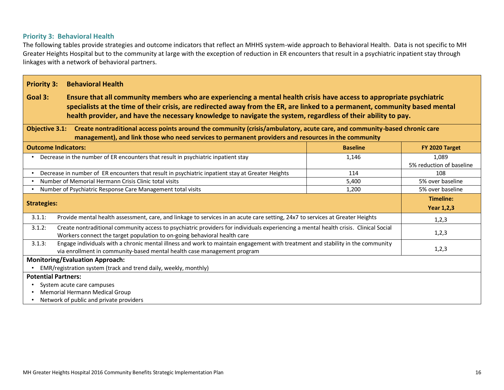### **Priority 3: Behavioral Health**

The following tables provide strategies and outcome indicators that reflect an MHHS system-wide approach to Behavioral Health. Data is not specific to MH Greater Heights Hospital but to the community at large with the exception of reduction in ER encounters that result in a psychiatric inpatient stay through linkages with a network of behavioral partners.

<span id="page-15-0"></span>

| <b>Priority 3:</b>                                                                                                                                                                                                                                                                                                                                                              | <b>Behavioral Health</b>                                                                                                                                                                                                         |                 |                                   |  |  |  |
|---------------------------------------------------------------------------------------------------------------------------------------------------------------------------------------------------------------------------------------------------------------------------------------------------------------------------------------------------------------------------------|----------------------------------------------------------------------------------------------------------------------------------------------------------------------------------------------------------------------------------|-----------------|-----------------------------------|--|--|--|
| Goal 3:<br>Ensure that all community members who are experiencing a mental health crisis have access to appropriate psychiatric<br>specialists at the time of their crisis, are redirected away from the ER, are linked to a permanent, community based mental<br>health provider, and have the necessary knowledge to navigate the system, regardless of their ability to pay. |                                                                                                                                                                                                                                  |                 |                                   |  |  |  |
| <b>Objective 3.1:</b>                                                                                                                                                                                                                                                                                                                                                           | Create nontraditional access points around the community (crisis/ambulatory, acute care, and community-based chronic care<br>management), and link those who need services to permanent providers and resources in the community |                 |                                   |  |  |  |
| <b>Outcome Indicators:</b>                                                                                                                                                                                                                                                                                                                                                      |                                                                                                                                                                                                                                  | <b>Baseline</b> | FY 2020 Target                    |  |  |  |
|                                                                                                                                                                                                                                                                                                                                                                                 | Decrease in the number of ER encounters that result in psychiatric inpatient stay                                                                                                                                                | 1,146           | 1,089<br>5% reduction of baseline |  |  |  |
|                                                                                                                                                                                                                                                                                                                                                                                 | Decrease in number of ER encounters that result in psychiatric inpatient stay at Greater Heights                                                                                                                                 | 114             | 108                               |  |  |  |
|                                                                                                                                                                                                                                                                                                                                                                                 | Number of Memorial Hermann Crisis Clinic total visits                                                                                                                                                                            | 5,400           | 5% over baseline                  |  |  |  |
|                                                                                                                                                                                                                                                                                                                                                                                 | Number of Psychiatric Response Care Management total visits                                                                                                                                                                      | 1,200           | 5% over baseline                  |  |  |  |
|                                                                                                                                                                                                                                                                                                                                                                                 |                                                                                                                                                                                                                                  |                 | Timeline:                         |  |  |  |
| <b>Strategies:</b>                                                                                                                                                                                                                                                                                                                                                              |                                                                                                                                                                                                                                  |                 | <b>Year 1,2,3</b>                 |  |  |  |
| 3.1.1:                                                                                                                                                                                                                                                                                                                                                                          | Provide mental health assessment, care, and linkage to services in an acute care setting, 24x7 to services at Greater Heights                                                                                                    |                 | 1,2,3                             |  |  |  |
| Create nontraditional community access to psychiatric providers for individuals experiencing a mental health crisis. Clinical Social<br>3.1.2:<br>Workers connect the target population to on-going behavioral health care                                                                                                                                                      | 1,2,3                                                                                                                                                                                                                            |                 |                                   |  |  |  |
| 3.1.3:                                                                                                                                                                                                                                                                                                                                                                          | Engage individuals with a chronic mental illness and work to maintain engagement with treatment and stability in the community<br>via enrollment in community-based mental health case management program                        |                 | 1,2,3                             |  |  |  |
| <b>Monitoring/Evaluation Approach:</b>                                                                                                                                                                                                                                                                                                                                          |                                                                                                                                                                                                                                  |                 |                                   |  |  |  |
| EMR/registration system (track and trend daily, weekly, monthly)                                                                                                                                                                                                                                                                                                                |                                                                                                                                                                                                                                  |                 |                                   |  |  |  |
| <b>Potential Partners:</b>                                                                                                                                                                                                                                                                                                                                                      |                                                                                                                                                                                                                                  |                 |                                   |  |  |  |
| System acute care campuses                                                                                                                                                                                                                                                                                                                                                      |                                                                                                                                                                                                                                  |                 |                                   |  |  |  |
|                                                                                                                                                                                                                                                                                                                                                                                 | Memorial Hermann Medical Group                                                                                                                                                                                                   |                 |                                   |  |  |  |
| Network of public and private providers                                                                                                                                                                                                                                                                                                                                         |                                                                                                                                                                                                                                  |                 |                                   |  |  |  |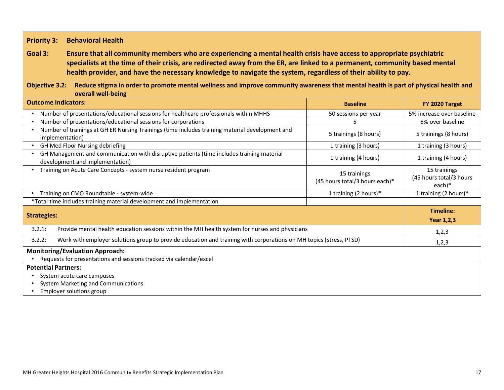### **Priority 3: Behavioral Health**

### **Goal 3: Ensure that all community members who are experiencing a mental health crisis have access to appropriate psychiatric specialists at the time of their crisis, are redirected away from the ER, are linked to a permanent, community based mental health provider, and have the necessary knowledge to navigate the system, regardless of their ability to pay.**

### **Objective 3.2: Reduce stigma in order to promote mental wellness and improve community awareness that mental health is part of physical health and overall well-being**

| <b>Outcome Indicators:</b>                                                                                                   | <b>Baseline</b>                                | FY 2020 Target                                      |  |
|------------------------------------------------------------------------------------------------------------------------------|------------------------------------------------|-----------------------------------------------------|--|
| Number of presentations/educational sessions for healthcare professionals within MHHS                                        | 50 sessions per year                           | 5% increase over baseline                           |  |
| Number of presentations/educational sessions for corporations                                                                | 5                                              | 5% over baseline                                    |  |
| Number of trainings at GH ER Nursing Trainings (time includes training material development and<br>implementation)           | 5 trainings (8 hours)                          | 5 trainings (8 hours)                               |  |
| GH Med Floor Nursing debriefing                                                                                              | 1 training (3 hours)                           | 1 training (3 hours)                                |  |
| GH Management and communication with disruptive patients (time includes training material<br>development and implementation) | 1 training (4 hours)                           | 1 training (4 hours)                                |  |
| Training on Acute Care Concepts - system nurse resident program                                                              | 15 trainings<br>(45 hours total/3 hours each)* | 15 trainings<br>(45 hours total/3 hours<br>$each)*$ |  |
| Training on CMO Roundtable - system-wide                                                                                     | 1 training (2 hours)*                          | 1 training (2 hours)*                               |  |
| *Total time includes training material development and implementation                                                        |                                                |                                                     |  |
|                                                                                                                              |                                                | Timeline:                                           |  |
| <b>Strategies:</b>                                                                                                           |                                                | <b>Year 1,2,3</b>                                   |  |
| Provide mental health education sessions within the MH health system for nurses and physicians<br>3.2.1:                     |                                                | 1,2,3                                               |  |
| Work with employer solutions group to provide education and training with corporations on MH topics (stress, PTSD)<br>3.2.2: |                                                | 1,2,3                                               |  |
| <b>Monitoring/Evaluation Approach:</b>                                                                                       |                                                |                                                     |  |
| Requests for presentations and sessions tracked via calendar/excel                                                           |                                                |                                                     |  |
| <b>Potential Partners:</b>                                                                                                   |                                                |                                                     |  |
| System acute care campuses                                                                                                   |                                                |                                                     |  |
| System Marketing and Communications                                                                                          |                                                |                                                     |  |
| Employer solutions group                                                                                                     |                                                |                                                     |  |